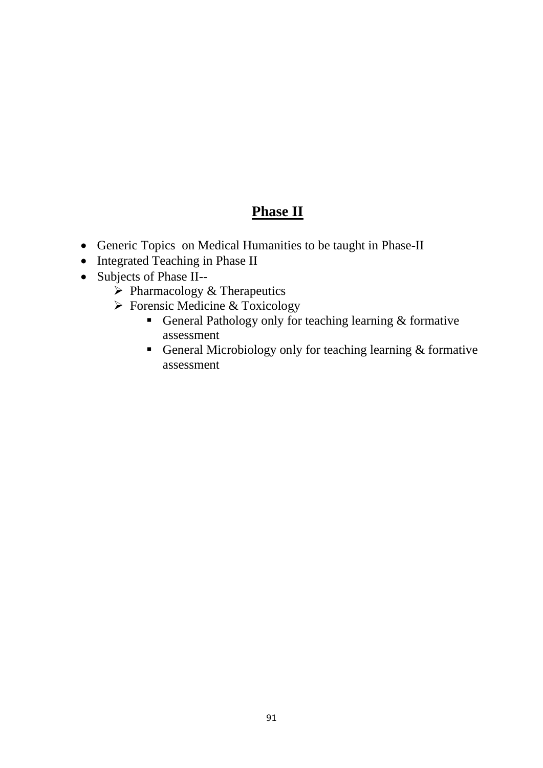## **Phase II**

- Generic Topics on Medical Humanities to be taught in Phase-II
- Integrated Teaching in Phase II
- Subjects of Phase II--
	- ➢ Pharmacology & Therapeutics
	- ➢ Forensic Medicine & Toxicology
		- General Pathology only for teaching learning & formative assessment
		- General Microbiology only for teaching learning & formative assessment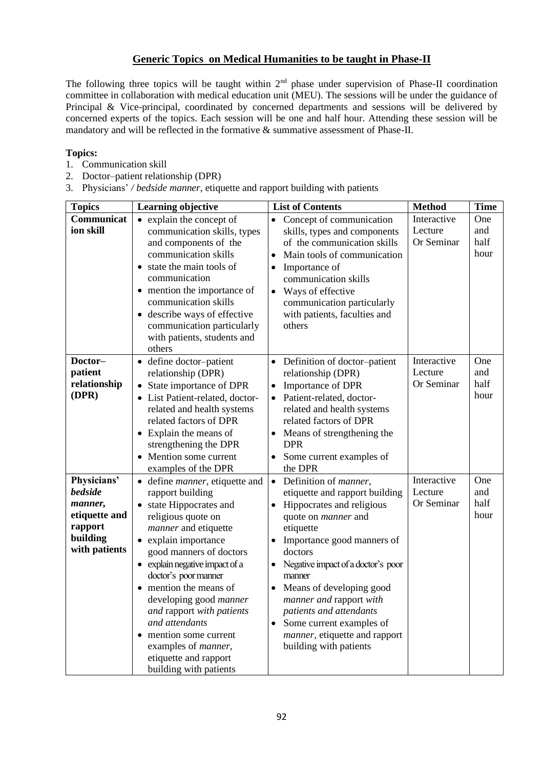## **Generic Topics on Medical Humanities to be taught in Phase-II**

The following three topics will be taught within  $2<sup>nd</sup>$  phase under supervision of Phase-II coordination committee in collaboration with medical education unit (MEU). The sessions will be under the guidance of Principal & Vice-principal, coordinated by concerned departments and sessions will be delivered by concerned experts of the topics. Each session will be one and half hour. Attending these session will be mandatory and will be reflected in the formative & summative assessment of Phase-II.

## **Topics:**

- 1. Communication skill
- 2. Doctor–patient relationship (DPR)
- 3. Physicians' */ bedside manner,* etiquette and rapport building with patients

| <b>Topics</b>                                                                                     | <b>Learning objective</b>                                                                                                                                                                                                                                                                                                                                                                                                                                                                    | <b>List of Contents</b>                                                                                                                                                                                                                                                                                                                                                                                                                                       | <b>Method</b>                        | <b>Time</b>                |
|---------------------------------------------------------------------------------------------------|----------------------------------------------------------------------------------------------------------------------------------------------------------------------------------------------------------------------------------------------------------------------------------------------------------------------------------------------------------------------------------------------------------------------------------------------------------------------------------------------|---------------------------------------------------------------------------------------------------------------------------------------------------------------------------------------------------------------------------------------------------------------------------------------------------------------------------------------------------------------------------------------------------------------------------------------------------------------|--------------------------------------|----------------------------|
| Communicat<br>ion skill                                                                           | • explain the concept of<br>communication skills, types<br>and components of the<br>communication skills<br>• state the main tools of<br>communication<br>• mention the importance of<br>communication skills<br>• describe ways of effective<br>communication particularly<br>with patients, students and<br>others                                                                                                                                                                         | Concept of communication<br>$\bullet$<br>skills, types and components<br>of the communication skills<br>Main tools of communication<br>Importance of<br>$\bullet$<br>communication skills<br>Ways of effective<br>$\bullet$<br>communication particularly<br>with patients, faculties and<br>others                                                                                                                                                           | Interactive<br>Lecture<br>Or Seminar | One<br>and<br>half<br>hour |
| Doctor-<br>patient<br>relationship<br>(DPR)                                                       | • define doctor-patient<br>relationship (DPR)<br>State importance of DPR<br>$\bullet$<br>• List Patient-related, doctor-<br>related and health systems<br>related factors of DPR<br>• Explain the means of<br>strengthening the DPR<br>• Mention some current<br>examples of the DPR                                                                                                                                                                                                         | Definition of doctor-patient<br>relationship (DPR)<br>Importance of DPR<br>$\bullet$<br>Patient-related, doctor-<br>related and health systems<br>related factors of DPR<br>Means of strengthening the<br><b>DPR</b><br>Some current examples of<br>the DPR                                                                                                                                                                                                   | Interactive<br>Lecture<br>Or Seminar | One<br>and<br>half<br>hour |
| Physicians'<br><b>bedside</b><br>manner,<br>etiquette and<br>rapport<br>building<br>with patients | • define <i>manner</i> , etiquette and<br>rapport building<br>state Hippocrates and<br>$\bullet$<br>religious quote on<br><i>manner</i> and etiquette<br>• explain importance<br>good manners of doctors<br>• explain negative impact of a<br>doctor's poor manner<br>mention the means of<br>$\bullet$<br>developing good manner<br>and rapport with patients<br>and attendants<br>• mention some current<br>examples of <i>manner</i> ,<br>etiquette and rapport<br>building with patients | Definition of <i>manner</i> ,<br>$\bullet$<br>etiquette and rapport building<br>Hippocrates and religious<br>$\bullet$<br>quote on <i>manner</i> and<br>etiquette<br>Importance good manners of<br>doctors<br>Negative impact of a doctor's poor<br>$\bullet$<br>manner<br>Means of developing good<br>$\bullet$<br>manner and rapport with<br>patients and attendants<br>Some current examples of<br>manner, etiquette and rapport<br>building with patients | Interactive<br>Lecture<br>Or Seminar | One<br>and<br>half<br>hour |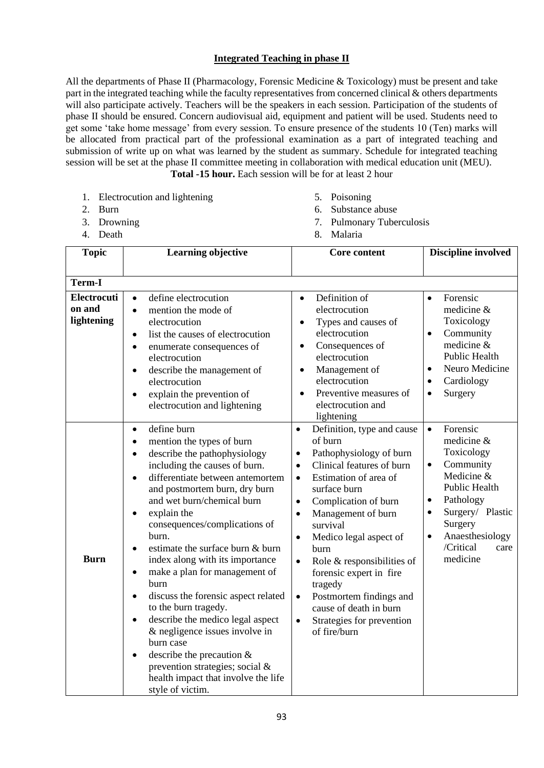## **Integrated Teaching in phase II**

All the departments of Phase II (Pharmacology, Forensic Medicine & Toxicology) must be present and take part in the integrated teaching while the faculty representatives from concerned clinical & others departments will also participate actively. Teachers will be the speakers in each session. Participation of the students of phase II should be ensured. Concern audiovisual aid, equipment and patient will be used. Students need to get some 'take home message' from every session. To ensure presence of the students 10 (Ten) marks will be allocated from practical part of the professional examination as a part of integrated teaching and submission of write up on what was learned by the student as summary. Schedule for integrated teaching session will be set at the phase II committee meeting in collaboration with medical education unit (MEU). **Total -15 hour.** Each session will be for at least 2 hour

1. Electrocution and lightening 2. Burn

- 5. Poisoning
- 6. Substance abuse
- 7. Pulmonary Tuberculosis

3. Drowning 4. Death

| 4. Death                     |                                                                                                                                                                                                                                                                                                                                                                                                                                                                                                                                                                                                                                                                                                                                                                                                        | 8. Malaria                                                                                                                                                                                                                                                                                                                                                                                                                                                                                                                                 |                                                                                                                                                                                                                                                   |
|------------------------------|--------------------------------------------------------------------------------------------------------------------------------------------------------------------------------------------------------------------------------------------------------------------------------------------------------------------------------------------------------------------------------------------------------------------------------------------------------------------------------------------------------------------------------------------------------------------------------------------------------------------------------------------------------------------------------------------------------------------------------------------------------------------------------------------------------|--------------------------------------------------------------------------------------------------------------------------------------------------------------------------------------------------------------------------------------------------------------------------------------------------------------------------------------------------------------------------------------------------------------------------------------------------------------------------------------------------------------------------------------------|---------------------------------------------------------------------------------------------------------------------------------------------------------------------------------------------------------------------------------------------------|
| <b>Topic</b>                 | <b>Learning objective</b>                                                                                                                                                                                                                                                                                                                                                                                                                                                                                                                                                                                                                                                                                                                                                                              | Core content                                                                                                                                                                                                                                                                                                                                                                                                                                                                                                                               | <b>Discipline involved</b>                                                                                                                                                                                                                        |
| <b>Term-I</b><br>Electrocuti | define electrocution<br>$\bullet$                                                                                                                                                                                                                                                                                                                                                                                                                                                                                                                                                                                                                                                                                                                                                                      | Definition of<br>$\bullet$                                                                                                                                                                                                                                                                                                                                                                                                                                                                                                                 | Forensic<br>$\bullet$                                                                                                                                                                                                                             |
| on and<br>lightening         | mention the mode of<br>$\bullet$<br>electrocution<br>list the causes of electrocution<br>$\bullet$<br>enumerate consequences of<br>$\bullet$<br>electrocution<br>describe the management of<br>$\bullet$<br>electrocution<br>explain the prevention of<br>$\bullet$<br>electrocution and lightening                                                                                                                                                                                                                                                                                                                                                                                                                                                                                                    | electrocution<br>Types and causes of<br>$\bullet$<br>electrocution<br>Consequences of<br>$\bullet$<br>electrocution<br>Management of<br>$\bullet$<br>electrocution<br>Preventive measures of<br>$\bullet$<br>electrocution and<br>lightening                                                                                                                                                                                                                                                                                               | medicine &<br>Toxicology<br>Community<br>$\bullet$<br>medicine &<br>Public Health<br>Neuro Medicine<br>$\bullet$<br>Cardiology<br>$\bullet$<br>Surgery<br>$\bullet$                                                                               |
| Burn                         | define burn<br>$\bullet$<br>mention the types of burn<br>$\bullet$<br>describe the pathophysiology<br>$\bullet$<br>including the causes of burn.<br>differentiate between antemortem<br>$\bullet$<br>and postmortem burn, dry burn<br>and wet burn/chemical burn<br>explain the<br>$\bullet$<br>consequences/complications of<br>burn.<br>estimate the surface burn & burn<br>$\bullet$<br>index along with its importance<br>make a plan for management of<br>$\bullet$<br>burn<br>discuss the forensic aspect related<br>$\bullet$<br>to the burn tragedy.<br>describe the medico legal aspect<br>$\bullet$<br>& negligence issues involve in<br>burn case<br>describe the precaution $&$<br>$\bullet$<br>prevention strategies; social &<br>health impact that involve the life<br>style of victim. | Definition, type and cause<br>$\bullet$<br>of burn<br>Pathophysiology of burn<br>$\bullet$<br>Clinical features of burn<br>$\bullet$<br>Estimation of area of<br>$\bullet$<br>surface burn<br>Complication of burn<br>$\bullet$<br>Management of burn<br>$\bullet$<br>survival<br>Medico legal aspect of<br>$\bullet$<br>burn<br>Role & responsibilities of<br>$\bullet$<br>forensic expert in fire<br>tragedy<br>Postmortem findings and<br>$\bullet$<br>cause of death in burn<br>Strategies for prevention<br>$\bullet$<br>of fire/burn | Forensic<br>$\bullet$<br>medicine &<br>Toxicology<br>Community<br>$\bullet$<br>Medicine &<br>Public Health<br>Pathology<br>$\bullet$<br>Surgery/ Plastic<br>$\bullet$<br>Surgery<br>Anaesthesiology<br>$\bullet$<br>/Critical<br>care<br>medicine |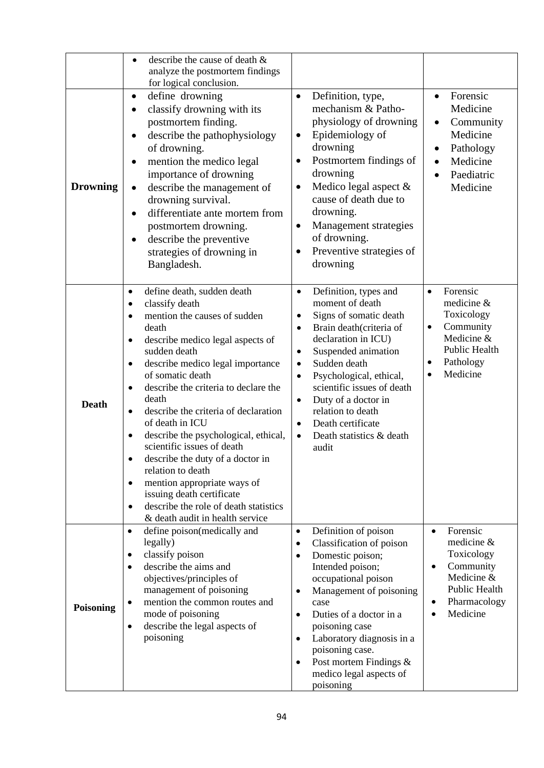| <b>Drowning</b>  | describe the cause of death &<br>$\bullet$<br>analyze the postmortem findings<br>for logical conclusion.<br>define drowning<br>$\bullet$<br>classify drowning with its<br>$\bullet$<br>postmortem finding.<br>describe the pathophysiology<br>$\bullet$<br>of drowning.<br>mention the medico legal<br>importance of drowning<br>describe the management of<br>$\bullet$<br>drowning survival.<br>differentiate ante mortem from<br>$\bullet$<br>postmortem drowning.<br>describe the preventive<br>٠<br>strategies of drowning in<br>Bangladesh.                                                                                                                       | Definition, type,<br>$\bullet$<br>mechanism & Patho-<br>physiology of drowning<br>Epidemiology of<br>$\bullet$<br>drowning<br>Postmortem findings of<br>٠<br>drowning<br>Medico legal aspect &<br>$\bullet$<br>cause of death due to<br>drowning.<br>Management strategies<br>$\bullet$<br>of drowning.<br>Preventive strategies of<br>$\bullet$<br>drowning                                                                                    | Forensic<br>$\bullet$<br>Medicine<br>Community<br>٠<br>Medicine<br>Pathology<br>Medicine<br>$\bullet$<br>Paediatric<br>$\bullet$<br>Medicine          |
|------------------|-------------------------------------------------------------------------------------------------------------------------------------------------------------------------------------------------------------------------------------------------------------------------------------------------------------------------------------------------------------------------------------------------------------------------------------------------------------------------------------------------------------------------------------------------------------------------------------------------------------------------------------------------------------------------|-------------------------------------------------------------------------------------------------------------------------------------------------------------------------------------------------------------------------------------------------------------------------------------------------------------------------------------------------------------------------------------------------------------------------------------------------|-------------------------------------------------------------------------------------------------------------------------------------------------------|
| <b>Death</b>     | define death, sudden death<br>$\bullet$<br>classify death<br>٠<br>mention the causes of sudden<br>$\bullet$<br>death<br>describe medico legal aspects of<br>sudden death<br>describe medico legal importance<br>of somatic death<br>describe the criteria to declare the<br>$\bullet$<br>death<br>describe the criteria of declaration<br>$\bullet$<br>of death in ICU<br>describe the psychological, ethical,<br>scientific issues of death<br>describe the duty of a doctor in<br>relation to death<br>mention appropriate ways of<br>$\bullet$<br>issuing death certificate<br>describe the role of death statistics<br>$\bullet$<br>& death audit in health service | Definition, types and<br>$\bullet$<br>moment of death<br>Signs of somatic death<br>$\bullet$<br>Brain death(criteria of<br>$\bullet$<br>declaration in ICU)<br>Suspended animation<br>$\bullet$<br>Sudden death<br>$\bullet$<br>Psychological, ethical,<br>$\bullet$<br>scientific issues of death<br>Duty of a doctor in<br>$\bullet$<br>relation to death<br>Death certificate<br>$\bullet$<br>Death statistics & death<br>$\bullet$<br>audit | Forensic<br>$\bullet$<br>medicine &<br>Toxicology<br>Community<br>$\bullet$<br>Medicine &<br>Public Health<br>Pathology<br>٠<br>Medicine<br>$\bullet$ |
| <b>Poisoning</b> | define poison(medically and<br>$\bullet$<br>legally)<br>classify poison<br>٠<br>describe the aims and<br>$\bullet$<br>objectives/principles of<br>management of poisoning<br>mention the common routes and<br>mode of poisoning<br>describe the legal aspects of<br>$\bullet$<br>poisoning                                                                                                                                                                                                                                                                                                                                                                              | Definition of poison<br>$\bullet$<br>Classification of poison<br>٠<br>Domestic poison;<br>٠<br>Intended poison;<br>occupational poison<br>Management of poisoning<br>$\bullet$<br>case<br>Duties of a doctor in a<br>$\bullet$<br>poisoning case<br>Laboratory diagnosis in a<br>$\bullet$<br>poisoning case.<br>Post mortem Findings &<br>$\bullet$<br>medico legal aspects of<br>poisoning                                                    | Forensic<br>$\bullet$<br>medicine &<br>Toxicology<br>Community<br>$\bullet$<br>Medicine &<br>Public Health<br>Pharmacology<br>٠<br>Medicine           |